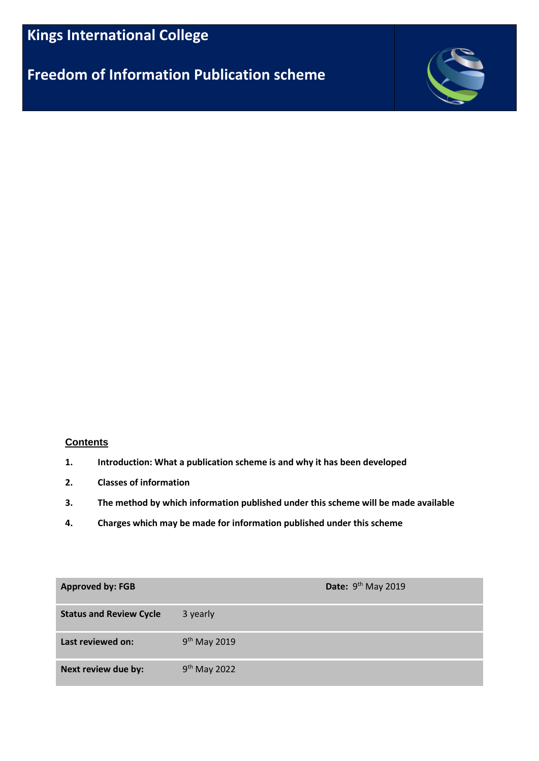# **Freedom of Information Publication scheme**



# **Contents**

- **1. Introduction: What a publication scheme is and why it has been developed**
- **2. Classes of information**
- **3. The method by which information published under this scheme will be made available**
- **4. Charges which may be made for information published under this scheme**

| <b>Approved by: FGB</b>        |                          | Date: $9th$ May 2019 |
|--------------------------------|--------------------------|----------------------|
| <b>Status and Review Cycle</b> | 3 yearly                 |                      |
| Last reviewed on:              | 9 <sup>th</sup> May 2019 |                      |
| Next review due by:            | $9th$ May 2022           |                      |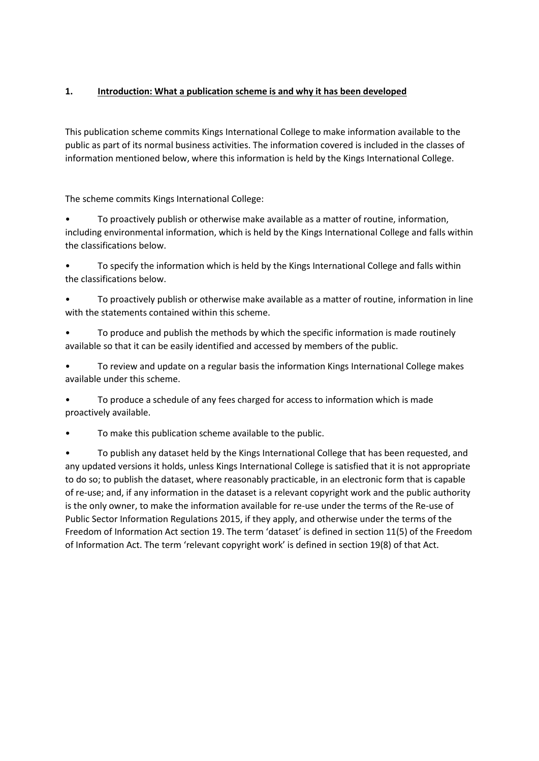# **1. Introduction: What a publication scheme is and why it has been developed**

This publication scheme commits Kings International College to make information available to the public as part of its normal business activities. The information covered is included in the classes of information mentioned below, where this information is held by the Kings International College.

The scheme commits Kings International College:

• To proactively publish or otherwise make available as a matter of routine, information, including environmental information, which is held by the Kings International College and falls within the classifications below.

• To specify the information which is held by the Kings International College and falls within the classifications below.

• To proactively publish or otherwise make available as a matter of routine, information in line with the statements contained within this scheme.

• To produce and publish the methods by which the specific information is made routinely available so that it can be easily identified and accessed by members of the public.

• To review and update on a regular basis the information Kings International College makes available under this scheme.

• To produce a schedule of any fees charged for access to information which is made proactively available.

• To make this publication scheme available to the public.

• To publish any dataset held by the Kings International College that has been requested, and any updated versions it holds, unless Kings International College is satisfied that it is not appropriate to do so; to publish the dataset, where reasonably practicable, in an electronic form that is capable of re-use; and, if any information in the dataset is a relevant copyright work and the public authority is the only owner, to make the information available for re-use under the terms of the Re-use of Public Sector Information Regulations 2015, if they apply, and otherwise under the terms of the Freedom of Information Act section 19. The term 'dataset' is defined in section 11(5) of the Freedom of Information Act. The term 'relevant copyright work' is defined in section 19(8) of that Act.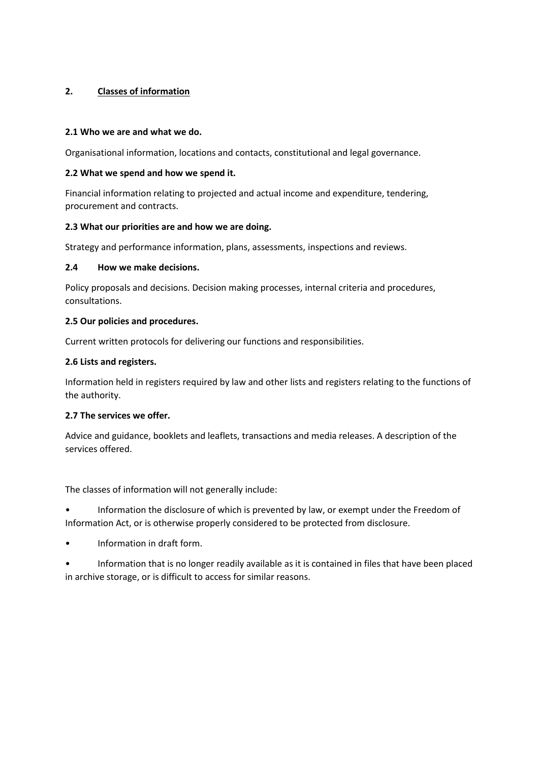## **2. Classes of information**

## **2.1 Who we are and what we do.**

Organisational information, locations and contacts, constitutional and legal governance.

## **2.2 What we spend and how we spend it.**

Financial information relating to projected and actual income and expenditure, tendering, procurement and contracts.

## **2.3 What our priorities are and how we are doing.**

Strategy and performance information, plans, assessments, inspections and reviews.

## **2.4 How we make decisions.**

Policy proposals and decisions. Decision making processes, internal criteria and procedures, consultations.

## **2.5 Our policies and procedures.**

Current written protocols for delivering our functions and responsibilities.

## **2.6 Lists and registers.**

Information held in registers required by law and other lists and registers relating to the functions of the authority.

#### **2.7 The services we offer.**

Advice and guidance, booklets and leaflets, transactions and media releases. A description of the services offered.

The classes of information will not generally include:

• Information the disclosure of which is prevented by law, or exempt under the Freedom of Information Act, or is otherwise properly considered to be protected from disclosure.

- Information in draft form.
- Information that is no longer readily available as it is contained in files that have been placed in archive storage, or is difficult to access for similar reasons.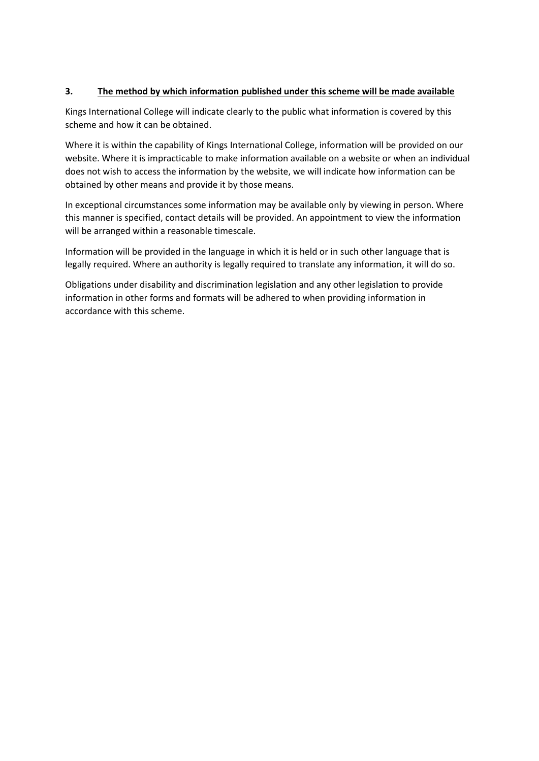# **3. The method by which information published under this scheme will be made available**

Kings International College will indicate clearly to the public what information is covered by this scheme and how it can be obtained.

Where it is within the capability of Kings International College, information will be provided on our website. Where it is impracticable to make information available on a website or when an individual does not wish to access the information by the website, we will indicate how information can be obtained by other means and provide it by those means.

In exceptional circumstances some information may be available only by viewing in person. Where this manner is specified, contact details will be provided. An appointment to view the information will be arranged within a reasonable timescale.

Information will be provided in the language in which it is held or in such other language that is legally required. Where an authority is legally required to translate any information, it will do so.

Obligations under disability and discrimination legislation and any other legislation to provide information in other forms and formats will be adhered to when providing information in accordance with this scheme.